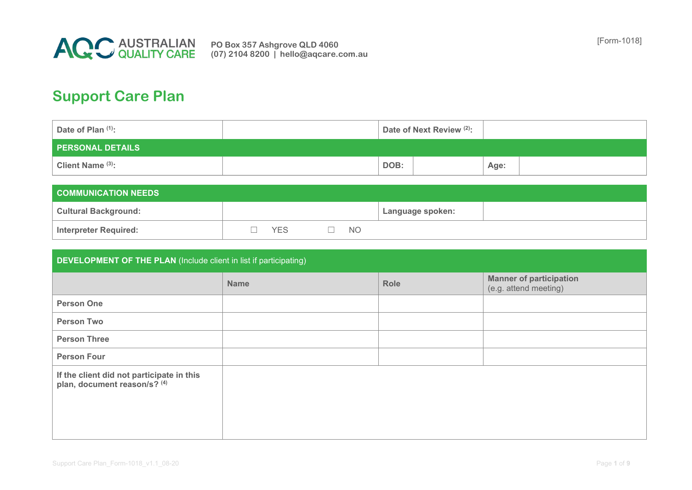

## **Support Care Plan**

| Date of Plan (1):       | Date of Next Review <sup>(2)</sup> : |  |      |  |
|-------------------------|--------------------------------------|--|------|--|
| <b>PERSONAL DETAILS</b> |                                      |  |      |  |
| Client Name (3):        | DOB:                                 |  | Age: |  |

| $\blacksquare$ COMMUNICATION NEEDS $\blacksquare$ |  |     |  |           |                  |  |  |
|---------------------------------------------------|--|-----|--|-----------|------------------|--|--|
| <b>Cultural Background:</b>                       |  |     |  |           | Language spoken: |  |  |
| Interpreter Required:                             |  | YES |  | <b>NO</b> |                  |  |  |

| <b>DEVELOPMENT OF THE PLAN</b> (Include client in list if participating)  |             |             |                                                         |  |  |  |  |  |
|---------------------------------------------------------------------------|-------------|-------------|---------------------------------------------------------|--|--|--|--|--|
|                                                                           | <b>Name</b> | <b>Role</b> | <b>Manner of participation</b><br>(e.g. attend meeting) |  |  |  |  |  |
| <b>Person One</b>                                                         |             |             |                                                         |  |  |  |  |  |
| <b>Person Two</b>                                                         |             |             |                                                         |  |  |  |  |  |
| <b>Person Three</b>                                                       |             |             |                                                         |  |  |  |  |  |
| <b>Person Four</b>                                                        |             |             |                                                         |  |  |  |  |  |
| If the client did not participate in this<br>plan, document reason/s? (4) |             |             |                                                         |  |  |  |  |  |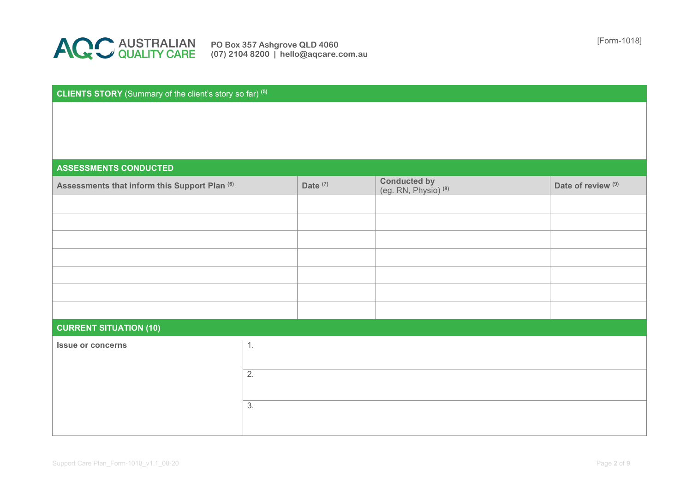

[Form-1018] **PO Box 357 Ashgrove QLD 4060 (07) 2104 8200 | hello@aqcare.com.au**

## **CLIENTS STORY** (Summary of the client's story so far) **(5)**

## **ASSESSMENTS CONDUCTED**

| Assessments that inform this Support Plan (6) |                  | Date <sup>(7)</sup> | <b>Conducted by</b><br>$(eg. RN, Physio)$ <sup>(8)</sup> | Date of review <sup>(9)</sup> |
|-----------------------------------------------|------------------|---------------------|----------------------------------------------------------|-------------------------------|
|                                               |                  |                     |                                                          |                               |
|                                               |                  |                     |                                                          |                               |
|                                               |                  |                     |                                                          |                               |
|                                               |                  |                     |                                                          |                               |
|                                               |                  |                     |                                                          |                               |
|                                               |                  |                     |                                                          |                               |
|                                               |                  |                     |                                                          |                               |
| <b>CURRENT SITUATION (10)</b>                 |                  |                     |                                                          |                               |
| <b>Issue or concerns</b>                      | 1.               |                     |                                                          |                               |
|                                               |                  |                     |                                                          |                               |
|                                               | $\overline{2}$ . |                     |                                                          |                               |
|                                               |                  |                     |                                                          |                               |
|                                               | 3.               |                     |                                                          |                               |
|                                               |                  |                     |                                                          |                               |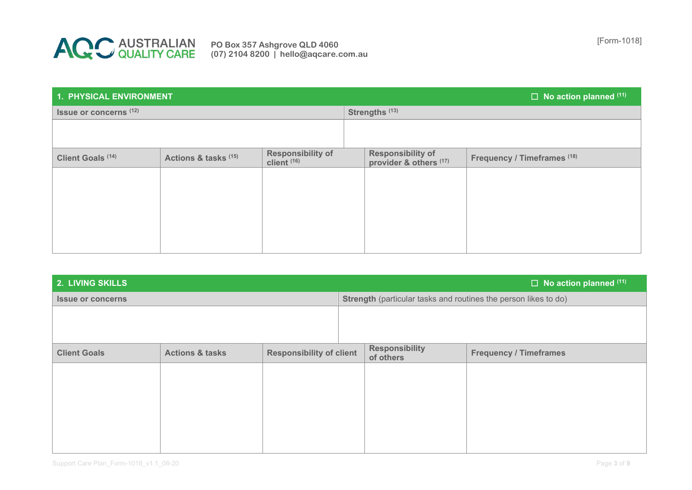

| 1. PHYSICAL ENVIRONMENT           |                      |                                             |                | $\Box$ No action planned $(11)^{1}$                |                             |  |  |
|-----------------------------------|----------------------|---------------------------------------------|----------------|----------------------------------------------------|-----------------------------|--|--|
| Issue or concerns <sup>(12)</sup> |                      |                                             | Strengths (13) |                                                    |                             |  |  |
|                                   |                      |                                             |                |                                                    |                             |  |  |
| Client Goals <sup>(14)</sup>      | Actions & tasks (15) | Responsibility of<br>client <sup>(16)</sup> |                | <b>Responsibility of</b><br>provider & others (17) | Frequency / Timeframes (18) |  |  |
|                                   |                      |                                             |                |                                                    |                             |  |  |
|                                   |                      |                                             |                |                                                    |                             |  |  |
|                                   |                      |                                             |                |                                                    |                             |  |  |
|                                   |                      |                                             |                |                                                    |                             |  |  |
|                                   |                      |                                             |                |                                                    |                             |  |  |

| <b>2. LIVING SKILLS</b>  |                            |                                 |  |                                    | $\Box$ No action planned $(11)$                                 |
|--------------------------|----------------------------|---------------------------------|--|------------------------------------|-----------------------------------------------------------------|
| <b>Issue or concerns</b> |                            |                                 |  |                                    | Strength (particular tasks and routines the person likes to do) |
|                          |                            |                                 |  |                                    |                                                                 |
|                          |                            |                                 |  |                                    |                                                                 |
| <b>Client Goals</b>      | <b>Actions &amp; tasks</b> | <b>Responsibility of client</b> |  | <b>Responsibility</b><br>of others | <b>Frequency / Timeframes</b>                                   |
|                          |                            |                                 |  |                                    |                                                                 |
|                          |                            |                                 |  |                                    |                                                                 |
|                          |                            |                                 |  |                                    |                                                                 |
|                          |                            |                                 |  |                                    |                                                                 |
|                          |                            |                                 |  |                                    |                                                                 |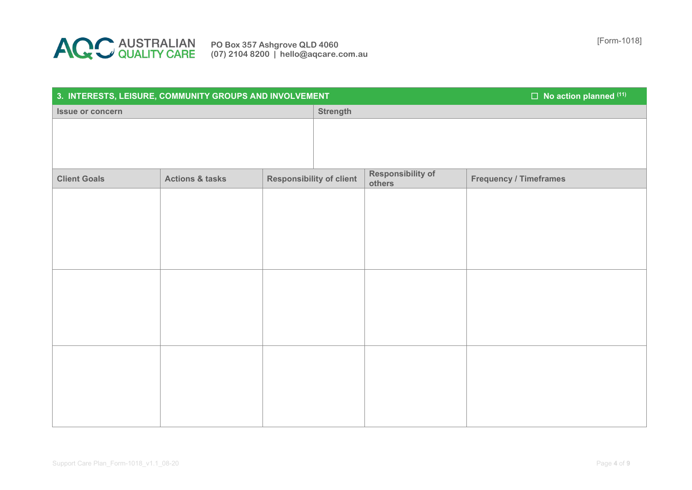

| 3. INTERESTS, LEISURE, COMMUNITY GROUPS AND INVOLVEMENT |                            |                                 |                 |                                    | $\square$ No action planned (11) |
|---------------------------------------------------------|----------------------------|---------------------------------|-----------------|------------------------------------|----------------------------------|
| Issue or concern                                        |                            |                                 | <b>Strength</b> |                                    |                                  |
|                                                         |                            |                                 |                 |                                    |                                  |
|                                                         |                            |                                 |                 |                                    |                                  |
|                                                         |                            |                                 |                 |                                    |                                  |
| <b>Client Goals</b>                                     | <b>Actions &amp; tasks</b> | <b>Responsibility of client</b> |                 | <b>Responsibility of</b><br>others | <b>Frequency / Timeframes</b>    |
|                                                         |                            |                                 |                 |                                    |                                  |
|                                                         |                            |                                 |                 |                                    |                                  |
|                                                         |                            |                                 |                 |                                    |                                  |
|                                                         |                            |                                 |                 |                                    |                                  |
|                                                         |                            |                                 |                 |                                    |                                  |
|                                                         |                            |                                 |                 |                                    |                                  |
|                                                         |                            |                                 |                 |                                    |                                  |
|                                                         |                            |                                 |                 |                                    |                                  |
|                                                         |                            |                                 |                 |                                    |                                  |
|                                                         |                            |                                 |                 |                                    |                                  |
|                                                         |                            |                                 |                 |                                    |                                  |
|                                                         |                            |                                 |                 |                                    |                                  |
|                                                         |                            |                                 |                 |                                    |                                  |
|                                                         |                            |                                 |                 |                                    |                                  |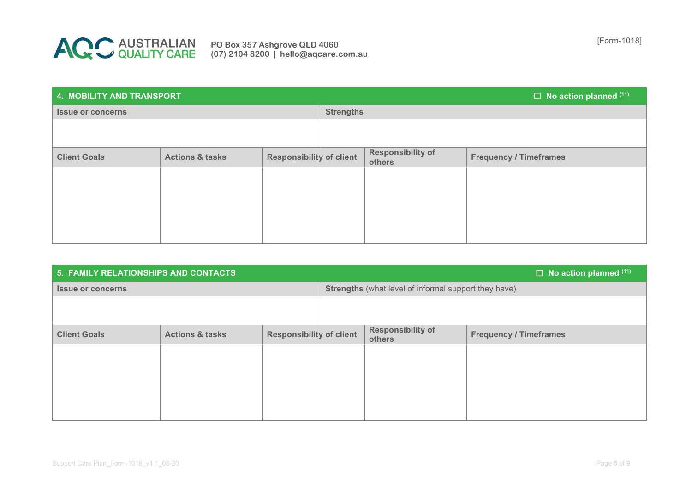

| <b>4. MOBILITY AND TRANSPORT</b> |                            |                                 |                  |                             | $\Box$ No action planned $(11)^{1}$ |  |
|----------------------------------|----------------------------|---------------------------------|------------------|-----------------------------|-------------------------------------|--|
| <b>Issue or concerns</b>         |                            |                                 | <b>Strengths</b> |                             |                                     |  |
|                                  |                            |                                 |                  |                             |                                     |  |
|                                  |                            |                                 |                  |                             |                                     |  |
| <b>Client Goals</b>              | <b>Actions &amp; tasks</b> | <b>Responsibility of client</b> |                  | Responsibility of<br>others | <b>Frequency / Timeframes</b>       |  |
|                                  |                            |                                 |                  |                             |                                     |  |
|                                  |                            |                                 |                  |                             |                                     |  |
|                                  |                            |                                 |                  |                             |                                     |  |
|                                  |                            |                                 |                  |                             |                                     |  |
|                                  |                            |                                 |                  |                             |                                     |  |

| 5. FAMILY RELATIONSHIPS AND CONTACTS |                            |                                 |  |                                                             | $\Box$ No action planned $(11)$ |
|--------------------------------------|----------------------------|---------------------------------|--|-------------------------------------------------------------|---------------------------------|
| <b>Issue or concerns</b>             |                            |                                 |  | <b>Strengths</b> (what level of informal support they have) |                                 |
|                                      |                            |                                 |  |                                                             |                                 |
|                                      |                            |                                 |  |                                                             |                                 |
| <b>Client Goals</b>                  | <b>Actions &amp; tasks</b> | <b>Responsibility of client</b> |  | <b>Responsibility of</b><br>others                          | <b>Frequency / Timeframes</b>   |
|                                      |                            |                                 |  |                                                             |                                 |
|                                      |                            |                                 |  |                                                             |                                 |
|                                      |                            |                                 |  |                                                             |                                 |
|                                      |                            |                                 |  |                                                             |                                 |
|                                      |                            |                                 |  |                                                             |                                 |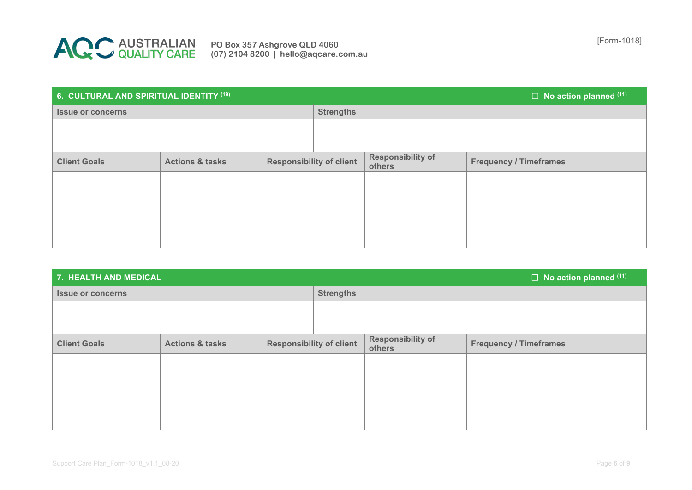

| 6. CULTURAL AND SPIRITUAL IDENTITY (19) |                            |                                 |                  | $\Box$ No action planned $(11)^{1}$ |                               |
|-----------------------------------------|----------------------------|---------------------------------|------------------|-------------------------------------|-------------------------------|
| <b>Issue or concerns</b>                |                            |                                 | <b>Strengths</b> |                                     |                               |
|                                         |                            |                                 |                  |                                     |                               |
|                                         |                            |                                 |                  |                                     |                               |
| <b>Client Goals</b>                     | <b>Actions &amp; tasks</b> | <b>Responsibility of client</b> |                  | <b>Responsibility of</b><br>others  | <b>Frequency / Timeframes</b> |
|                                         |                            |                                 |                  |                                     |                               |
|                                         |                            |                                 |                  |                                     |                               |
|                                         |                            |                                 |                  |                                     |                               |
|                                         |                            |                                 |                  |                                     |                               |
|                                         |                            |                                 |                  |                                     |                               |

| 7. HEALTH AND MEDICAL    |                            |                                 |                  | $\Box$ No action planned $(11)$    |                               |
|--------------------------|----------------------------|---------------------------------|------------------|------------------------------------|-------------------------------|
| <b>Issue or concerns</b> |                            |                                 | <b>Strengths</b> |                                    |                               |
|                          |                            |                                 |                  |                                    |                               |
|                          |                            |                                 |                  |                                    |                               |
| <b>Client Goals</b>      | <b>Actions &amp; tasks</b> | <b>Responsibility of client</b> |                  | <b>Responsibility of</b><br>others | <b>Frequency / Timeframes</b> |
|                          |                            |                                 |                  |                                    |                               |
|                          |                            |                                 |                  |                                    |                               |
|                          |                            |                                 |                  |                                    |                               |
|                          |                            |                                 |                  |                                    |                               |
|                          |                            |                                 |                  |                                    |                               |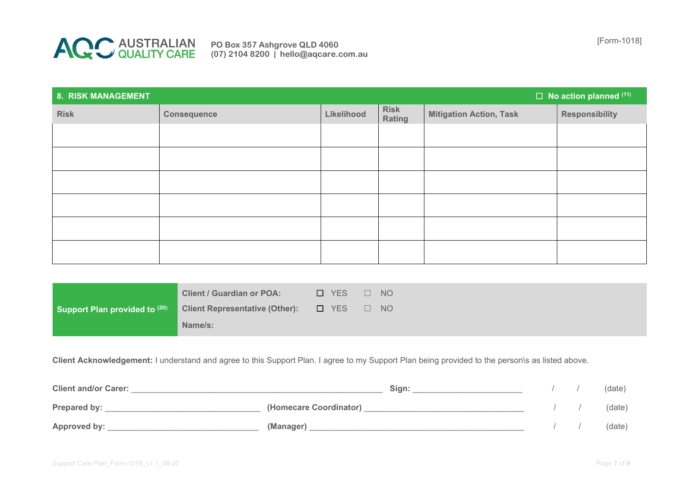

[Form-1018] **PO Box 357 Ashgrove QLD 4060 (07) 2104 8200 | hello@aqcare.com.au**

| 8. RISK MANAGEMENT |                    |            |                       |                                | $\Box$ No action planned $(11)$ |
|--------------------|--------------------|------------|-----------------------|--------------------------------|---------------------------------|
| <b>Risk</b>        | <b>Consequence</b> | Likelihood | <b>Risk</b><br>Rating | <b>Mitigation Action, Task</b> | <b>Responsibility</b>           |
|                    |                    |            |                       |                                |                                 |
|                    |                    |            |                       |                                |                                 |
|                    |                    |            |                       |                                |                                 |
|                    |                    |            |                       |                                |                                 |
|                    |                    |            |                       |                                |                                 |
|                    |                    |            |                       |                                |                                 |

|                                | <b>Client / Guardian or POA:</b>      | T YES |              | <b>NO</b> |
|--------------------------------|---------------------------------------|-------|--------------|-----------|
| Support Plan provided to (20): | <b>Client Representative (Other):</b> | D YES | $\mathbf{1}$ | - NO      |
|                                | Name/s:                               |       |              |           |

**Client Acknowledgement:** I understand and agree to this Support Plan. I agree to my Support Plan being provided to the person\s as listed above.

| <b>Client and/or Carer:</b> | Sian:                  |  | (date) |
|-----------------------------|------------------------|--|--------|
| Prepared by:                | (Homecare Coordinator) |  | (date) |
| Approved by:                | (Manager)              |  | (date) |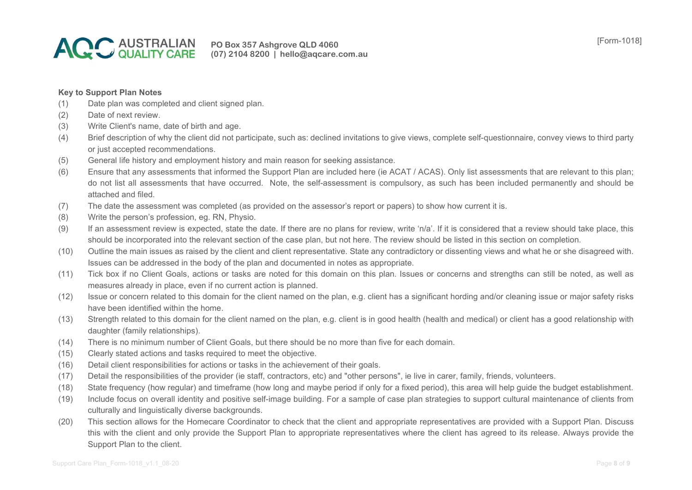

## **Key to Support Plan Notes**

- (1) Date plan was completed and client signed plan.
- (2) Date of next review.
- (3) Write Client's name, date of birth and age.
- (4) Brief description of why the client did not participate, such as: declined invitations to give views, complete self-questionnaire, convey views to third party or just accepted recommendations.
- (5) General life history and employment history and main reason for seeking assistance.
- (6) Ensure that any assessments that informed the Support Plan are included here (ie ACAT / ACAS). Only list assessments that are relevant to this plan; do not list all assessments that have occurred. Note, the self-assessment is compulsory, as such has been included permanently and should be attached and filed.
- (7) The date the assessment was completed (as provided on the assessor's report or papers) to show how current it is.
- (8) Write the person's profession, eg. RN, Physio.
- (9) If an assessment review is expected, state the date. If there are no plans for review, write 'n/a'. If it is considered that a review should take place, this should be incorporated into the relevant section of the case plan, but not here. The review should be listed in this section on completion.
- (10) Outline the main issues as raised by the client and client representative. State any contradictory or dissenting views and what he or she disagreed with. Issues can be addressed in the body of the plan and documented in notes as appropriate.
- (11) Tick box if no Client Goals, actions or tasks are noted for this domain on this plan. Issues or concerns and strengths can still be noted, as well as measures already in place, even if no current action is planned.
- (12) Issue or concern related to this domain for the client named on the plan, e.g. client has a significant hording and/or cleaning issue or major safety risks have been identified within the home.
- (13) Strength related to this domain for the client named on the plan, e.g. client is in good health (health and medical) or client has a good relationship with daughter (family relationships).
- (14) There is no minimum number of Client Goals, but there should be no more than five for each domain.
- (15) Clearly stated actions and tasks required to meet the objective.
- (16) Detail client responsibilities for actions or tasks in the achievement of their goals.
- (17) Detail the responsibilities of the provider (ie staff, contractors, etc) and "other persons", ie live in carer, family, friends, volunteers.
- (18) State frequency (how regular) and timeframe (how long and maybe period if only for a fixed period), this area will help guide the budget establishment.
- (19) Include focus on overall identity and positive self-image building. For a sample of case plan strategies to support cultural maintenance of clients from culturally and linguistically diverse backgrounds.
- (20) This section allows for the Homecare Coordinator to check that the client and appropriate representatives are provided with a Support Plan. Discuss this with the client and only provide the Support Plan to appropriate representatives where the client has agreed to its release. Always provide the Support Plan to the client.